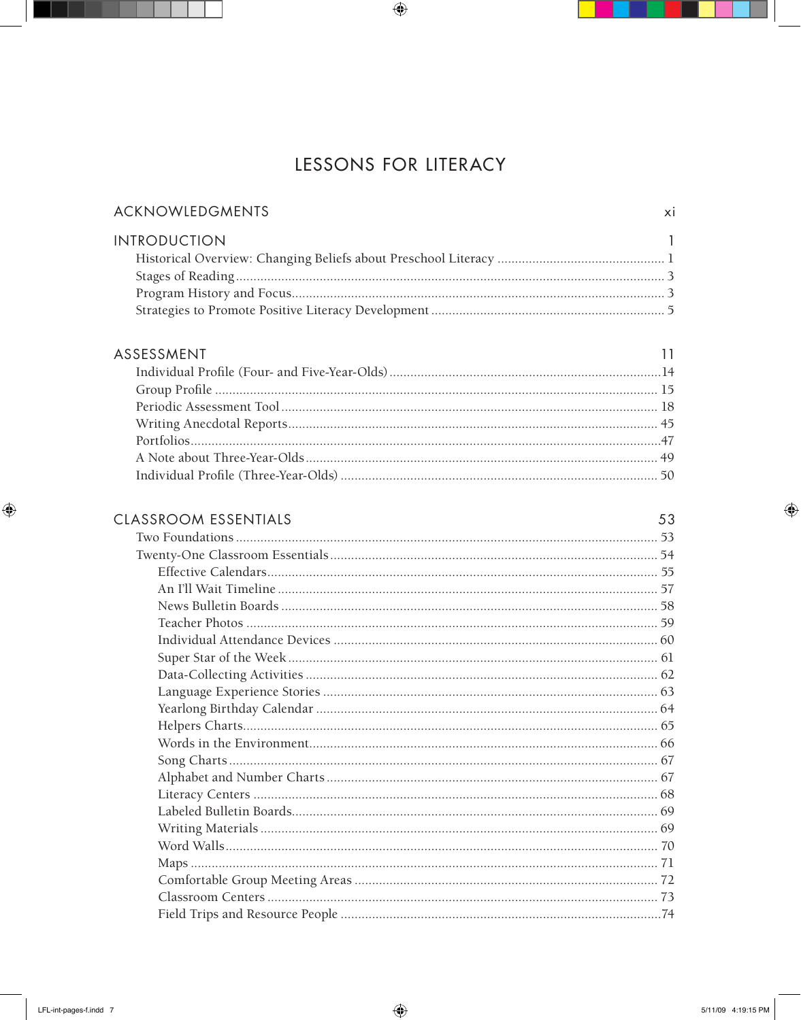## LESSONS FOR LITERACY

| ACKNOWLEDGMENTS     |  |
|---------------------|--|
| <b>INTRODUCTION</b> |  |
|                     |  |
|                     |  |
|                     |  |
|                     |  |

## ASSESSMENT

| $\sim$ 11<br>SESSMENT |  |
|-----------------------|--|
|                       |  |
|                       |  |
|                       |  |
|                       |  |
|                       |  |
|                       |  |
|                       |  |

## CLASSROOM ESSENTIALS

 $53$ 

| 1991NU LUJLI 11IAL9 |  |
|---------------------|--|
|                     |  |
|                     |  |
|                     |  |
|                     |  |
|                     |  |
|                     |  |
|                     |  |
|                     |  |
|                     |  |
|                     |  |
|                     |  |
|                     |  |
|                     |  |
|                     |  |
|                     |  |
|                     |  |
|                     |  |
|                     |  |
|                     |  |
|                     |  |
|                     |  |
|                     |  |
|                     |  |
|                     |  |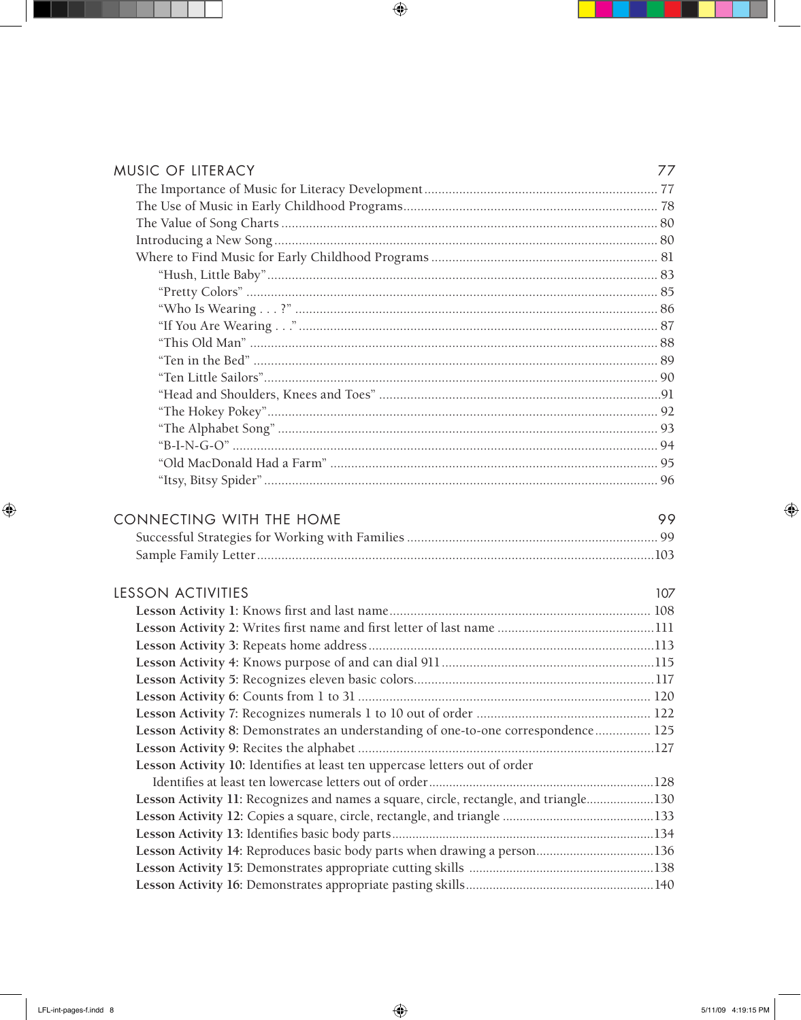| <b>MUSIC OF LITERACY</b>                                                              | 77  |
|---------------------------------------------------------------------------------------|-----|
|                                                                                       |     |
|                                                                                       |     |
|                                                                                       |     |
|                                                                                       |     |
|                                                                                       |     |
|                                                                                       |     |
|                                                                                       |     |
|                                                                                       |     |
|                                                                                       |     |
|                                                                                       |     |
|                                                                                       |     |
|                                                                                       |     |
|                                                                                       |     |
|                                                                                       |     |
|                                                                                       |     |
|                                                                                       |     |
|                                                                                       |     |
|                                                                                       |     |
|                                                                                       |     |
| <b>CONNECTING WITH THE HOME</b>                                                       | 99  |
|                                                                                       |     |
|                                                                                       |     |
| <b>LESSON ACTIVITIES</b>                                                              | 107 |
|                                                                                       |     |
|                                                                                       |     |
|                                                                                       |     |
|                                                                                       |     |
|                                                                                       |     |
|                                                                                       |     |
|                                                                                       |     |
| Lesson Activity 8: Demonstrates an understanding of one-to-one correspondence 125     |     |
|                                                                                       |     |
| Lesson Activity 10: Identifies at least ten uppercase letters out of order            |     |
|                                                                                       |     |
| Lesson Activity 11: Recognizes and names a square, circle, rectangle, and triangle130 |     |
|                                                                                       |     |
|                                                                                       |     |
| Lesson Activity 14: Reproduces basic body parts when drawing a person136              |     |
|                                                                                       |     |

**Lesson Activity 16:** Demonstrates appropriate pasting skills........................................................140